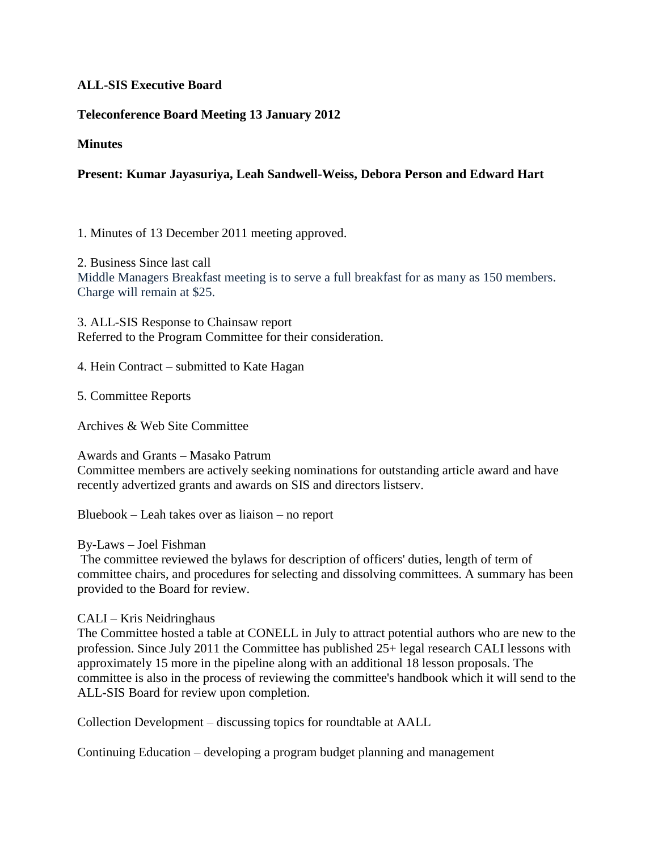# **ALL-SIS Executive Board**

## **Teleconference Board Meeting 13 January 2012**

### **Minutes**

# **Present: Kumar Jayasuriya, Leah Sandwell-Weiss, Debora Person and Edward Hart**

1. Minutes of 13 December 2011 meeting approved.

2. Business Since last call Middle Managers Breakfast meeting is to serve a full breakfast for as many as 150 members. Charge will remain at \$25.

3. ALL-SIS Response to Chainsaw report Referred to the Program Committee for their consideration.

4. Hein Contract – submitted to Kate Hagan

5. Committee Reports

Archives & Web Site Committee

Awards and Grants – Masako Patrum Committee members are actively seeking nominations for outstanding article award and have recently advertized grants and awards on SIS and directors listserv.

Bluebook – Leah takes over as liaison – no report

#### By-Laws – Joel Fishman

The committee reviewed the bylaws for description of officers' duties, length of term of committee chairs, and procedures for selecting and dissolving committees. A summary has been provided to the Board for review.

CALI – Kris Neidringhaus

The Committee hosted a table at CONELL in July to attract potential authors who are new to the profession. Since July 2011 the Committee has published 25+ legal research CALI lessons with approximately 15 more in the pipeline along with an additional 18 lesson proposals. The committee is also in the process of reviewing the committee's handbook which it will send to the ALL-SIS Board for review upon completion.

Collection Development – discussing topics for roundtable at AALL

Continuing Education – developing a program budget planning and management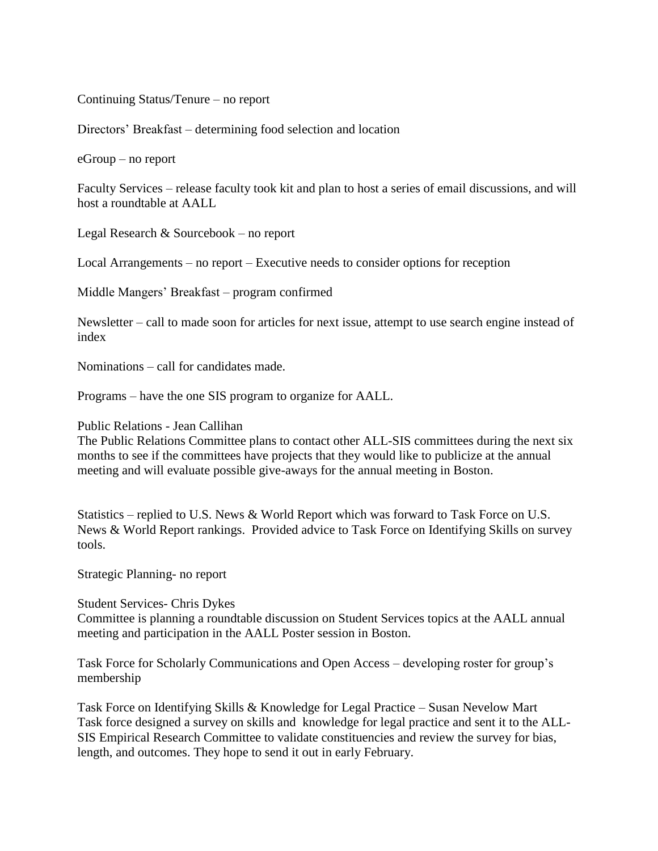Continuing Status/Tenure – no report

Directors' Breakfast – determining food selection and location

eGroup – no report

Faculty Services – release faculty took kit and plan to host a series of email discussions, and will host a roundtable at AALL

Legal Research & Sourcebook – no report

Local Arrangements – no report – Executive needs to consider options for reception

Middle Mangers' Breakfast – program confirmed

Newsletter – call to made soon for articles for next issue, attempt to use search engine instead of index

Nominations – call for candidates made.

Programs – have the one SIS program to organize for AALL.

Public Relations - Jean Callihan

The Public Relations Committee plans to contact other ALL-SIS committees during the next six months to see if the committees have projects that they would like to publicize at the annual meeting and will evaluate possible give-aways for the annual meeting in Boston.

Statistics – replied to U.S. News & World Report which was forward to Task Force on U.S. News & World Report rankings. Provided advice to Task Force on Identifying Skills on survey tools.

Strategic Planning- no report

Student Services- Chris Dykes

Committee is planning a roundtable discussion on Student Services topics at the AALL annual meeting and participation in the AALL Poster session in Boston.

Task Force for Scholarly Communications and Open Access – developing roster for group's membership

Task Force on Identifying Skills & Knowledge for Legal Practice – Susan Nevelow Mart Task force designed a survey on skills and knowledge for legal practice and sent it to the ALL-SIS Empirical Research Committee to validate constituencies and review the survey for bias, length, and outcomes. They hope to send it out in early February.